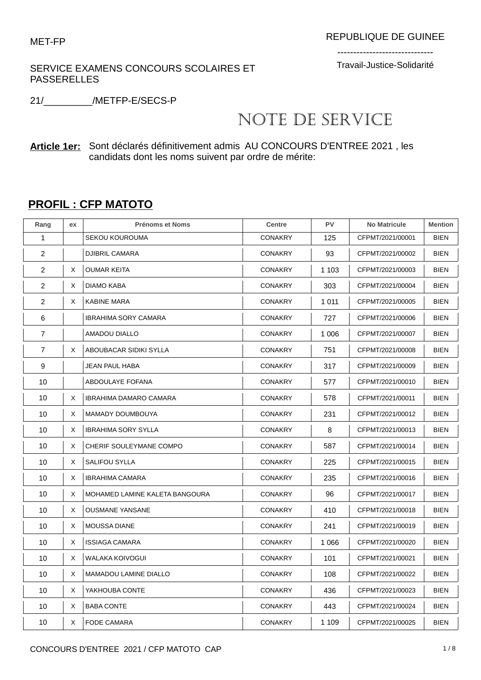### SERVICE EXAMENS CONCOURS SCOLAIRES ET PASSERELLES

------------------------------ Travail-Justice-Solidarité

21/\_\_\_\_\_\_\_\_\_/METFP-E/SECS-P

# NOTE DE SERVICE

**Article 1er:** Sont déclarés définitivement admis AU CONCOURS D'ENTREE 2021 , les candidats dont les noms suivent par ordre de mérite:

## **PROFIL : CFP MATOTO**

| Rang           | ex | <b>Prénoms et Noms</b>         | <b>Centre</b>  | PV      | <b>No Matricule</b> | <b>Mention</b> |
|----------------|----|--------------------------------|----------------|---------|---------------------|----------------|
| 1              |    | <b>SEKOU KOUROUMA</b>          | <b>CONAKRY</b> | 125     | CFPMT/2021/00001    | <b>BIEN</b>    |
| $\overline{2}$ |    | <b>DJIBRIL CAMARA</b>          | <b>CONAKRY</b> | 93      | CFPMT/2021/00002    | <b>BIEN</b>    |
| $\overline{2}$ | X  | <b>OUMAR KEITA</b>             | <b>CONAKRY</b> | 1 1 0 3 | CFPMT/2021/00003    | <b>BIEN</b>    |
| $\overline{2}$ | X  | DIAMO KABA                     | <b>CONAKRY</b> | 303     | CFPMT/2021/00004    | <b>BIEN</b>    |
| $\overline{2}$ | X  | <b>KABINE MARA</b>             | <b>CONAKRY</b> | 1 0 1 1 | CFPMT/2021/00005    | <b>BIEN</b>    |
| 6              |    | IBRAHIMA SORY CAMARA           | <b>CONAKRY</b> | 727     | CFPMT/2021/00006    | <b>BIEN</b>    |
| 7              |    | AMADOU DIALLO                  | <b>CONAKRY</b> | 1 0 0 6 | CFPMT/2021/00007    | <b>BIEN</b>    |
| $\overline{7}$ | X  | ABOUBACAR SIDIKI SYLLA         | <b>CONAKRY</b> | 751     | CFPMT/2021/00008    | <b>BIEN</b>    |
| 9              |    | JEAN PAUL HABA                 | <b>CONAKRY</b> | 317     | CFPMT/2021/00009    | <b>BIEN</b>    |
| 10             |    | ABDOULAYE FOFANA               | <b>CONAKRY</b> | 577     | CFPMT/2021/00010    | <b>BIEN</b>    |
| 10             | X  | <b>IBRAHIMA DAMARO CAMARA</b>  | <b>CONAKRY</b> | 578     | CFPMT/2021/00011    | <b>BIEN</b>    |
| 10             | Χ  | <b>MAMADY DOUMBOUYA</b>        | <b>CONAKRY</b> | 231     | CFPMT/2021/00012    | <b>BIEN</b>    |
| 10             | Χ  | <b>IBRAHIMA SORY SYLLA</b>     | <b>CONAKRY</b> | 8       | CFPMT/2021/00013    | <b>BIEN</b>    |
| 10             | X  | CHERIF SOULEYMANE COMPO        | <b>CONAKRY</b> | 587     | CFPMT/2021/00014    | <b>BIEN</b>    |
| 10             | Χ  | <b>SALIFOU SYLLA</b>           | <b>CONAKRY</b> | 225     | CFPMT/2021/00015    | <b>BIEN</b>    |
| 10             | X  | <b>IBRAHIMA CAMARA</b>         | <b>CONAKRY</b> | 235     | CFPMT/2021/00016    | <b>BIEN</b>    |
| 10             | Χ  | MOHAMED LAMINE KALETA BANGOURA | <b>CONAKRY</b> | 96      | CFPMT/2021/00017    | <b>BIEN</b>    |
| 10             | Χ  | <b>OUSMANE YANSANE</b>         | <b>CONAKRY</b> | 410     | CFPMT/2021/00018    | <b>BIEN</b>    |
| 10             | X  | <b>MOUSSA DIANE</b>            | <b>CONAKRY</b> | 241     | CFPMT/2021/00019    | <b>BIEN</b>    |
| 10             | Χ  | <b>ISSIAGA CAMARA</b>          | <b>CONAKRY</b> | 1 0 6 6 | CFPMT/2021/00020    | <b>BIEN</b>    |
| 10             | X  | WALAKA KOIVOGUI                | <b>CONAKRY</b> | 101     | CFPMT/2021/00021    | <b>BIEN</b>    |
| 10             | X  | <b>MAMADOU LAMINE DIALLO</b>   | <b>CONAKRY</b> | 108     | CFPMT/2021/00022    | <b>BIEN</b>    |
| 10             | Χ  | YAKHOUBA CONTE                 | <b>CONAKRY</b> | 436     | CFPMT/2021/00023    | <b>BIEN</b>    |
| 10             | X  | <b>BABA CONTE</b>              | <b>CONAKRY</b> | 443     | CFPMT/2021/00024    | <b>BIEN</b>    |
| 10             | X  | <b>FODE CAMARA</b>             | <b>CONAKRY</b> | 1 1 0 9 | CFPMT/2021/00025    | <b>BIEN</b>    |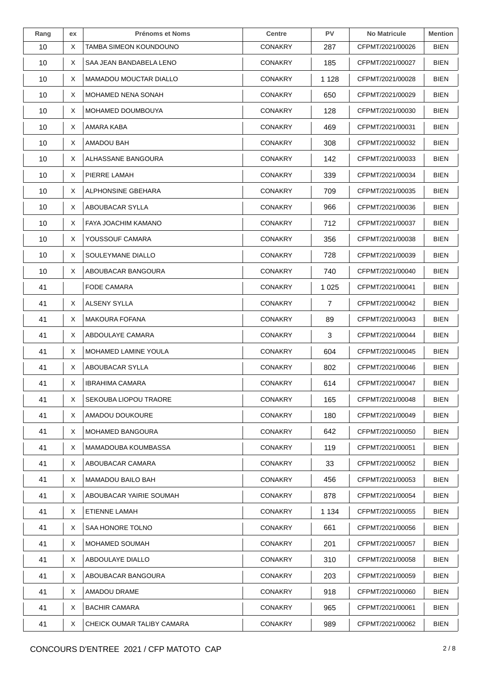| Rang | ex | <b>Prénoms et Noms</b>      | <b>Centre</b>  | <b>PV</b> | <b>No Matricule</b> | <b>Mention</b> |
|------|----|-----------------------------|----------------|-----------|---------------------|----------------|
| 10   | X  | TAMBA SIMEON KOUNDOUNO      | <b>CONAKRY</b> | 287       | CFPMT/2021/00026    | <b>BIEN</b>    |
| 10   | X  | SAA JEAN BANDABELA LENO     | <b>CONAKRY</b> | 185       | CFPMT/2021/00027    | <b>BIEN</b>    |
| 10   | X  | MAMADOU MOUCTAR DIALLO      | <b>CONAKRY</b> | 1 1 2 8   | CFPMT/2021/00028    | <b>BIEN</b>    |
| 10   | X  | MOHAMED NENA SONAH          | <b>CONAKRY</b> | 650       | CFPMT/2021/00029    | <b>BIEN</b>    |
| 10   | X. | MOHAMED DOUMBOUYA           | <b>CONAKRY</b> | 128       | CFPMT/2021/00030    | BIEN           |
| 10   | X  | AMARA KABA                  | <b>CONAKRY</b> | 469       | CFPMT/2021/00031    | BIEN           |
| 10   | X  | AMADOU BAH                  | <b>CONAKRY</b> | 308       | CFPMT/2021/00032    | <b>BIEN</b>    |
| 10   | X. | ALHASSANE BANGOURA          | <b>CONAKRY</b> | 142       | CFPMT/2021/00033    | <b>BIEN</b>    |
| 10   | X  | PIERRE LAMAH                | <b>CONAKRY</b> | 339       | CFPMT/2021/00034    | BIEN           |
| 10   | X  | ALPHONSINE GBEHARA          | <b>CONAKRY</b> | 709       | CFPMT/2021/00035    | BIEN           |
| 10   | X  | ABOUBACAR SYLLA             | <b>CONAKRY</b> | 966       | CFPMT/2021/00036    | <b>BIEN</b>    |
| 10   | Χ  | FAYA JOACHIM KAMANO         | <b>CONAKRY</b> | 712       | CFPMT/2021/00037    | BIEN           |
| 10   | X  | YOUSSOUF CAMARA             | <b>CONAKRY</b> | 356       | CFPMT/2021/00038    | BIEN           |
| 10   | X  | SOULEYMANE DIALLO           | <b>CONAKRY</b> | 728       | CFPMT/2021/00039    | BIEN           |
| 10   | X  | ABOUBACAR BANGOURA          | <b>CONAKRY</b> | 740       | CFPMT/2021/00040    | <b>BIEN</b>    |
| 41   |    | <b>FODE CAMARA</b>          | <b>CONAKRY</b> | 1 0 2 5   | CFPMT/2021/00041    | <b>BIEN</b>    |
| 41   | Χ  | ALSENY SYLLA                | <b>CONAKRY</b> | 7         | CFPMT/2021/00042    | <b>BIEN</b>    |
| 41   | X  | <b>MAKOURA FOFANA</b>       | <b>CONAKRY</b> | 89        | CFPMT/2021/00043    | BIEN           |
| 41   | X  | ABDOULAYE CAMARA            | <b>CONAKRY</b> | 3         | CFPMT/2021/00044    | <b>BIEN</b>    |
| 41   | X  | <b>MOHAMED LAMINE YOULA</b> | <b>CONAKRY</b> | 604       | CFPMT/2021/00045    | <b>BIEN</b>    |
| 41   | X  | ABOUBACAR SYLLA             | <b>CONAKRY</b> | 802       | CFPMT/2021/00046    | BIEN           |
| 41   | X  | <b>IBRAHIMA CAMARA</b>      | <b>CONAKRY</b> | 614       | CFPMT/2021/00047    | <b>BIEN</b>    |
| 41   | X  | SEKOUBA LIOPOU TRAORE       | <b>CONAKRY</b> | 165       | CFPMT/2021/00048    | <b>BIEN</b>    |
| 41   | X  | AMADOU DOUKOURE             | <b>CONAKRY</b> | 180       | CFPMT/2021/00049    | <b>BIEN</b>    |
| 41   | X  | MOHAMED BANGOURA            | <b>CONAKRY</b> | 642       | CFPMT/2021/00050    | <b>BIEN</b>    |
| 41   | X  | MAMADOUBA KOUMBASSA         | <b>CONAKRY</b> | 119       | CFPMT/2021/00051    | BIEN           |
| 41   | X. | ABOUBACAR CAMARA            | <b>CONAKRY</b> | 33        | CFPMT/2021/00052    | <b>BIEN</b>    |
| 41   | X  | <b>MAMADOU BAILO BAH</b>    | <b>CONAKRY</b> | 456       | CFPMT/2021/00053    | BIEN           |
| 41   | X  | ABOUBACAR YAIRIE SOUMAH     | <b>CONAKRY</b> | 878       | CFPMT/2021/00054    | <b>BIEN</b>    |
| 41   | X  | ETIENNE LAMAH               | <b>CONAKRY</b> | 1 1 3 4   | CFPMT/2021/00055    | <b>BIEN</b>    |
| 41   | X  | SAA HONORE TOLNO            | <b>CONAKRY</b> | 661       | CFPMT/2021/00056    | BIEN           |
| 41   | X  | MOHAMED SOUMAH              | <b>CONAKRY</b> | 201       | CFPMT/2021/00057    | <b>BIEN</b>    |
| 41   | X  | ABDOULAYE DIALLO            | <b>CONAKRY</b> | 310       | CFPMT/2021/00058    | <b>BIEN</b>    |
| 41   | X  | ABOUBACAR BANGOURA          | <b>CONAKRY</b> | 203       | CFPMT/2021/00059    | <b>BIEN</b>    |
| 41   | X  | AMADOU DRAME                | <b>CONAKRY</b> | 918       | CFPMT/2021/00060    | BIEN           |
| 41   | X  | <b>BACHIR CAMARA</b>        | <b>CONAKRY</b> | 965       | CFPMT/2021/00061    | BIEN           |
| 41   | X  | CHEICK OUMAR TALIBY CAMARA  | <b>CONAKRY</b> | 989       | CFPMT/2021/00062    | <b>BIEN</b>    |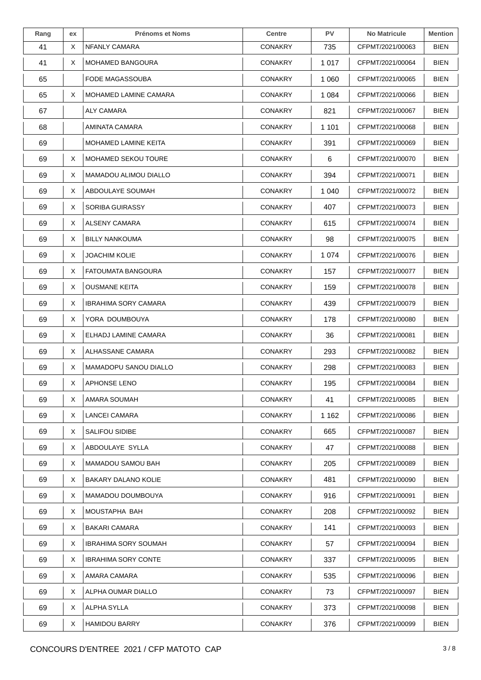| Rang | ex | <b>Prénoms et Noms</b>       | <b>Centre</b>  | <b>PV</b> | <b>No Matricule</b> | <b>Mention</b> |
|------|----|------------------------------|----------------|-----------|---------------------|----------------|
| 41   | X  | NFANLY CAMARA                | <b>CONAKRY</b> | 735       | CFPMT/2021/00063    | <b>BIEN</b>    |
| 41   | X  | <b>MOHAMED BANGOURA</b>      | <b>CONAKRY</b> | 1 0 1 7   | CFPMT/2021/00064    | <b>BIEN</b>    |
| 65   |    | FODE MAGASSOUBA              | <b>CONAKRY</b> | 1 0 6 0   | CFPMT/2021/00065    | BIEN           |
| 65   | X  | MOHAMED LAMINE CAMARA        | <b>CONAKRY</b> | 1 0 8 4   | CFPMT/2021/00066    | BIEN           |
| 67   |    | ALY CAMARA                   | <b>CONAKRY</b> | 821       | CFPMT/2021/00067    | <b>BIEN</b>    |
| 68   |    | AMINATA CAMARA               | <b>CONAKRY</b> | 1 1 0 1   | CFPMT/2021/00068    | <b>BIEN</b>    |
| 69   |    | MOHAMED LAMINE KEITA         | <b>CONAKRY</b> | 391       | CFPMT/2021/00069    | <b>BIEN</b>    |
| 69   | X  | <b>MOHAMED SEKOU TOURE</b>   | <b>CONAKRY</b> | 6         | CFPMT/2021/00070    | BIEN           |
| 69   | X  | <b>MAMADOU ALIMOU DIALLO</b> | <b>CONAKRY</b> | 394       | CFPMT/2021/00071    | BIEN           |
| 69   | X  | ABDOULAYE SOUMAH             | <b>CONAKRY</b> | 1 0 4 0   | CFPMT/2021/00072    | <b>BIEN</b>    |
| 69   | X  | <b>SORIBA GUIRASSY</b>       | <b>CONAKRY</b> | 407       | CFPMT/2021/00073    | <b>BIEN</b>    |
| 69   | X  | ALSENY CAMARA                | <b>CONAKRY</b> | 615       | CFPMT/2021/00074    | BIEN           |
| 69   | X  | <b>BILLY NANKOUMA</b>        | <b>CONAKRY</b> | 98        | CFPMT/2021/00075    | <b>BIEN</b>    |
| 69   | X  | JOACHIM KOLIE                | CONAKRY        | 1 0 7 4   | CFPMT/2021/00076    | <b>BIEN</b>    |
| 69   | X  | <b>FATOUMATA BANGOURA</b>    | <b>CONAKRY</b> | 157       | CFPMT/2021/00077    | <b>BIEN</b>    |
| 69   | X  | <b>OUSMANE KEITA</b>         | <b>CONAKRY</b> | 159       | CFPMT/2021/00078    | <b>BIEN</b>    |
| 69   | X  | <b>IBRAHIMA SORY CAMARA</b>  | <b>CONAKRY</b> | 439       | CFPMT/2021/00079    | BIEN           |
| 69   | X  | YORA DOUMBOUYA               | <b>CONAKRY</b> | 178       | CFPMT/2021/00080    | <b>BIEN</b>    |
| 69   | X  | ELHADJ LAMINE CAMARA         | <b>CONAKRY</b> | 36        | CFPMT/2021/00081    | <b>BIEN</b>    |
| 69   | Χ  | ALHASSANE CAMARA             | <b>CONAKRY</b> | 293       | CFPMT/2021/00082    | <b>BIEN</b>    |
| 69   | X  | MAMADOPU SANOU DIALLO        | <b>CONAKRY</b> | 298       | CFPMT/2021/00083    | BIEN           |
| 69   | X  | <b>APHONSE LENO</b>          | <b>CONAKRY</b> | 195       | CFPMT/2021/00084    | <b>BIEN</b>    |
| 69   | X  | AMARA SOUMAH                 | <b>CONAKRY</b> | 41        | CFPMT/2021/00085    | <b>BIEN</b>    |
| 69   | X  | <b>LANCEI CAMARA</b>         | <b>CONAKRY</b> | 1 1 6 2   | CFPMT/2021/00086    | <b>BIEN</b>    |
| 69   | X  | <b>SALIFOU SIDIBE</b>        | <b>CONAKRY</b> | 665       | CFPMT/2021/00087    | BIEN           |
| 69   | X  | ABDOULAYE SYLLA              | <b>CONAKRY</b> | 47        | CFPMT/2021/00088    | <b>BIEN</b>    |
| 69   | X  | MAMADOU SAMOU BAH            | <b>CONAKRY</b> | 205       | CFPMT/2021/00089    | <b>BIEN</b>    |
| 69   | X  | <b>BAKARY DALANO KOLIE</b>   | <b>CONAKRY</b> | 481       | CFPMT/2021/00090    | <b>BIEN</b>    |
| 69   | X  | MAMADOU DOUMBOUYA            | <b>CONAKRY</b> | 916       | CFPMT/2021/00091    | BIEN           |
| 69   | X  | MOUSTAPHA BAH                | <b>CONAKRY</b> | 208       | CFPMT/2021/00092    | BIEN           |
| 69   | X  | <b>BAKARI CAMARA</b>         | <b>CONAKRY</b> | 141       | CFPMT/2021/00093    | <b>BIEN</b>    |
| 69   | X  | <b>IBRAHIMA SORY SOUMAH</b>  | <b>CONAKRY</b> | 57        | CFPMT/2021/00094    | <b>BIEN</b>    |
| 69   | X  | <b>IBRAHIMA SORY CONTE</b>   | <b>CONAKRY</b> | 337       | CFPMT/2021/00095    | <b>BIEN</b>    |
| 69   | X  | AMARA CAMARA                 | <b>CONAKRY</b> | 535       | CFPMT/2021/00096    | BIEN           |
| 69   | X  | ALPHA OUMAR DIALLO           | <b>CONAKRY</b> | 73        | CFPMT/2021/00097    | <b>BIEN</b>    |
| 69   | X  | ALPHA SYLLA                  | <b>CONAKRY</b> | 373       | CFPMT/2021/00098    | <b>BIEN</b>    |
| 69   | Χ  | <b>HAMIDOU BARRY</b>         | <b>CONAKRY</b> | 376       | CFPMT/2021/00099    | <b>BIEN</b>    |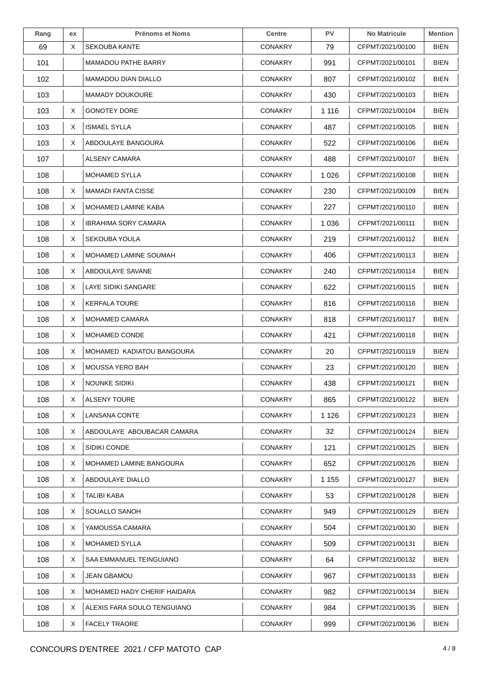| Rang | ex | <b>Prénoms et Noms</b>      | <b>Centre</b>  | <b>PV</b> | <b>No Matricule</b> | <b>Mention</b> |
|------|----|-----------------------------|----------------|-----------|---------------------|----------------|
| 69   | X  | <b>SEKOUBA KANTE</b>        | <b>CONAKRY</b> | 79        | CFPMT/2021/00100    | <b>BIEN</b>    |
| 101  |    | <b>MAMADOU PATHE BARRY</b>  | <b>CONAKRY</b> | 991       | CFPMT/2021/00101    | <b>BIEN</b>    |
| 102  |    | <b>MAMADOU DIAN DIALLO</b>  | <b>CONAKRY</b> | 807       | CFPMT/2021/00102    | <b>BIEN</b>    |
| 103  |    | <b>MAMADY DOUKOURE</b>      | <b>CONAKRY</b> | 430       | CFPMT/2021/00103    | <b>BIEN</b>    |
| 103  | X  | <b>GONOTEY DORE</b>         | <b>CONAKRY</b> | 1 1 1 6   | CFPMT/2021/00104    | <b>BIEN</b>    |
| 103  | X  | <b>ISMAEL SYLLA</b>         | <b>CONAKRY</b> | 487       | CFPMT/2021/00105    | <b>BIEN</b>    |
| 103  | X  | ABDOULAYE BANGOURA          | <b>CONAKRY</b> | 522       | CFPMT/2021/00106    | <b>BIEN</b>    |
| 107  |    | ALSENY CAMARA               | <b>CONAKRY</b> | 488       | CFPMT/2021/00107    | <b>BIEN</b>    |
| 108  |    | <b>MOHAMED SYLLA</b>        | <b>CONAKRY</b> | 1 0 2 6   | CFPMT/2021/00108    | <b>BIEN</b>    |
| 108  | X  | <b>MAMADI FANTA CISSE</b>   | <b>CONAKRY</b> | 230       | CFPMT/2021/00109    | <b>BIEN</b>    |
| 108  | X. | <b>MOHAMED LAMINE KABA</b>  | <b>CONAKRY</b> | 227       | CFPMT/2021/00110    | <b>BIEN</b>    |
| 108  | X  | <b>IBRAHIMA SORY CAMARA</b> | <b>CONAKRY</b> | 1 0 3 6   | CFPMT/2021/00111    | BIEN           |
| 108  | X  | <b>SEKOUBA YOULA</b>        | <b>CONAKRY</b> | 219       | CFPMT/2021/00112    | <b>BIEN</b>    |
| 108  | X  | MOHAMED LAMINE SOUMAH       | <b>CONAKRY</b> | 406       | CFPMT/2021/00113    | <b>BIEN</b>    |
| 108  | X  | ABDOULAYE SAVANE            | <b>CONAKRY</b> | 240       | CFPMT/2021/00114    | <b>BIEN</b>    |
| 108  | X  | LAYE SIDIKI SANGARE         | <b>CONAKRY</b> | 622       | CFPMT/2021/00115    | <b>BIEN</b>    |
| 108  | X  | <b>KERFALA TOURE</b>        | <b>CONAKRY</b> | 816       | CFPMT/2021/00116    | BIEN           |
| 108  | X  | <b>MOHAMED CAMARA</b>       | <b>CONAKRY</b> | 818       | CFPMT/2021/00117    | <b>BIEN</b>    |
| 108  | Χ  | MOHAMED CONDE               | <b>CONAKRY</b> | 421       | CFPMT/2021/00118    | <b>BIEN</b>    |
| 108  | X  | MOHAMED KADIATOU BANGOURA   | <b>CONAKRY</b> | 20        | CFPMT/2021/00119    | <b>BIEN</b>    |
| 108  | X  | MOUSSA YERO BAH             | <b>CONAKRY</b> | 23        | CFPMT/2021/00120    | BIEN           |
| 108  | X  | <b>NOUNKE SIDIKI</b>        | <b>CONAKRY</b> | 438       | CFPMT/2021/00121    | <b>BIEN</b>    |
| 108  | X  | <b>ALSENY TOURE</b>         | CONAKRY        | 865       | CFPMT/2021/00122    | <b>BIEN</b>    |
| 108  | X. | LANSANA CONTE               | <b>CONAKRY</b> | 1 1 2 6   | CFPMT/2021/00123    | <b>BIEN</b>    |
| 108  | X  | ABDOULAYE ABOUBACAR CAMARA  | <b>CONAKRY</b> | 32        | CFPMT/2021/00124    | <b>BIEN</b>    |
| 108  | X  | SIDIKI CONDE                | <b>CONAKRY</b> | 121       | CFPMT/2021/00125    | <b>BIEN</b>    |
| 108  | X. | MOHAMED LAMINE BANGOURA     | <b>CONAKRY</b> | 652       | CFPMT/2021/00126    | <b>BIEN</b>    |
| 108  | X  | ABDOULAYE DIALLO            | <b>CONAKRY</b> | 1 1 5 5   | CFPMT/2021/00127    | <b>BIEN</b>    |
| 108  | X  | TALIBI KABA                 | <b>CONAKRY</b> | 53        | CFPMT/2021/00128    | <b>BIEN</b>    |
| 108  | X  | SOUALLO SANOH               | <b>CONAKRY</b> | 949       | CFPMT/2021/00129    | BIEN           |
| 108  | X  | YAMOUSSA CAMARA             | <b>CONAKRY</b> | 504       | CFPMT/2021/00130    | <b>BIEN</b>    |
| 108  | X  | <b>MOHAMED SYLLA</b>        | <b>CONAKRY</b> | 509       | CFPMT/2021/00131    | <b>BIEN</b>    |
| 108  | X  | SAA EMMANUEL TEINGUIANO     | <b>CONAKRY</b> | 64        | CFPMT/2021/00132    | <b>BIEN</b>    |
| 108  | X  | JEAN GBAMOU                 | <b>CONAKRY</b> | 967       | CFPMT/2021/00133    | <b>BIEN</b>    |
| 108  | X  | MOHAMED HADY CHERIF HAIDARA | <b>CONAKRY</b> | 982       | CFPMT/2021/00134    | <b>BIEN</b>    |
| 108  | X  | ALEXIS FARA SOULO TENGUIANO | <b>CONAKRY</b> | 984       | CFPMT/2021/00135    | <b>BIEN</b>    |
| 108  | X  | <b>FACELY TRAORE</b>        | <b>CONAKRY</b> | 999       | CFPMT/2021/00136    | <b>BIEN</b>    |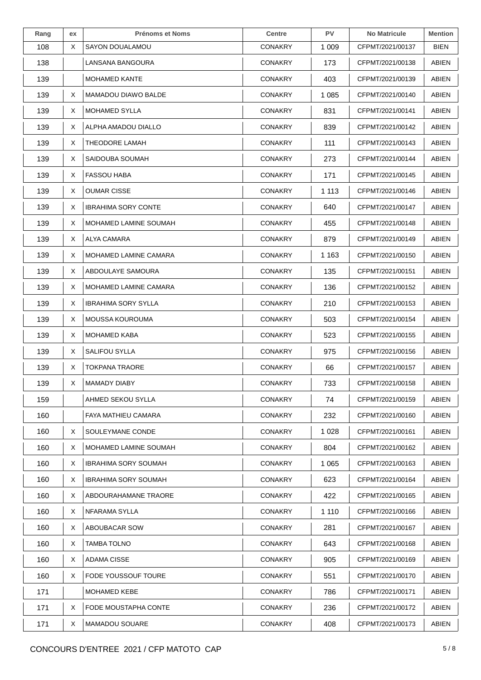| Rang | ex | <b>Prénoms et Noms</b>      | <b>Centre</b>  | <b>PV</b> | <b>No Matricule</b> | <b>Mention</b> |
|------|----|-----------------------------|----------------|-----------|---------------------|----------------|
| 108  | X  | SAYON DOUALAMOU             | <b>CONAKRY</b> | 1 0 0 9   | CFPMT/2021/00137    | <b>BIEN</b>    |
| 138  |    | LANSANA BANGOURA            | <b>CONAKRY</b> | 173       | CFPMT/2021/00138    | ABIEN          |
| 139  |    | <b>MOHAMED KANTE</b>        | <b>CONAKRY</b> | 403       | CFPMT/2021/00139    | ABIEN          |
| 139  | X  | MAMADOU DIAWO BALDE         | <b>CONAKRY</b> | 1 0 8 5   | CFPMT/2021/00140    | ABIEN          |
| 139  | X. | <b>MOHAMED SYLLA</b>        | <b>CONAKRY</b> | 831       | CFPMT/2021/00141    | ABIEN          |
| 139  | X  | ALPHA AMADOU DIALLO         | <b>CONAKRY</b> | 839       | CFPMT/2021/00142    | ABIEN          |
| 139  | X  | <b>THEODORE LAMAH</b>       | <b>CONAKRY</b> | 111       | CFPMT/2021/00143    | ABIEN          |
| 139  | X. | SAIDOUBA SOUMAH             | <b>CONAKRY</b> | 273       | CFPMT/2021/00144    | ABIEN          |
| 139  | X  | <b>FASSOU HABA</b>          | <b>CONAKRY</b> | 171       | CFPMT/2021/00145    | ABIEN          |
| 139  | X  | <b>OUMAR CISSE</b>          | <b>CONAKRY</b> | 1 1 1 3   | CFPMT/2021/00146    | ABIEN          |
| 139  | X. | <b>IBRAHIMA SORY CONTE</b>  | <b>CONAKRY</b> | 640       | CFPMT/2021/00147    | ABIEN          |
| 139  | X  | MOHAMED LAMINE SOUMAH       | <b>CONAKRY</b> | 455       | CFPMT/2021/00148    | ABIEN          |
| 139  | X  | ALYA CAMARA                 | <b>CONAKRY</b> | 879       | CFPMT/2021/00149    | ABIEN          |
| 139  | X  | MOHAMED LAMINE CAMARA       | <b>CONAKRY</b> | 1 1 6 3   | CFPMT/2021/00150    | ABIEN          |
| 139  | X  | ABDOULAYE SAMOURA           | <b>CONAKRY</b> | 135       | CFPMT/2021/00151    | ABIEN          |
| 139  | X  | MOHAMED LAMINE CAMARA       | <b>CONAKRY</b> | 136       | CFPMT/2021/00152    | ABIEN          |
| 139  | X  | <b>IBRAHIMA SORY SYLLA</b>  | <b>CONAKRY</b> | 210       | CFPMT/2021/00153    | ABIEN          |
| 139  | X  | MOUSSA KOUROUMA             | <b>CONAKRY</b> | 503       | CFPMT/2021/00154    | ABIEN          |
| 139  | Χ  | <b>MOHAMED KABA</b>         | <b>CONAKRY</b> | 523       | CFPMT/2021/00155    | ABIEN          |
| 139  | X  | <b>SALIFOU SYLLA</b>        | <b>CONAKRY</b> | 975       | CFPMT/2021/00156    | ABIEN          |
| 139  | X  | <b>TOKPANA TRAORE</b>       | <b>CONAKRY</b> | 66        | CFPMT/2021/00157    | ABIEN          |
| 139  | X  | <b>MAMADY DIABY</b>         | <b>CONAKRY</b> | 733       | CFPMT/2021/00158    | ABIEN          |
| 159  |    | AHMED SEKOU SYLLA           | CONAKRY        | 74        | CFPMT/2021/00159    | ABIEN          |
| 160  |    | FAYA MATHIEU CAMARA         | <b>CONAKRY</b> | 232       | CFPMT/2021/00160    | ABIEN          |
| 160  | X  | SOULEYMANE CONDE            | <b>CONAKRY</b> | 1 0 2 8   | CFPMT/2021/00161    | ABIEN          |
| 160  | X  | MOHAMED LAMINE SOUMAH       | <b>CONAKRY</b> | 804       | CFPMT/2021/00162    | ABIEN          |
| 160  | X. | <b>IBRAHIMA SORY SOUMAH</b> | <b>CONAKRY</b> | 1 0 6 5   | CFPMT/2021/00163    | ABIEN          |
| 160  | X  | <b>IBRAHIMA SORY SOUMAH</b> | <b>CONAKRY</b> | 623       | CFPMT/2021/00164    | ABIEN          |
| 160  | X  | ABDOURAHAMANE TRAORE        | <b>CONAKRY</b> | 422       | CFPMT/2021/00165    | ABIEN          |
| 160  | X  | NFARAMA SYLLA               | <b>CONAKRY</b> | 1 1 1 0   | CFPMT/2021/00166    | ABIEN          |
| 160  | X  | ABOUBACAR SOW               | <b>CONAKRY</b> | 281       | CFPMT/2021/00167    | ABIEN          |
| 160  | X  | TAMBA TOLNO                 | <b>CONAKRY</b> | 643       | CFPMT/2021/00168    | ABIEN          |
| 160  | X  | ADAMA CISSE                 | <b>CONAKRY</b> | 905       | CFPMT/2021/00169    | ABIEN          |
| 160  | X  | FODE YOUSSOUF TOURE         | <b>CONAKRY</b> | 551       | CFPMT/2021/00170    | ABIEN          |
| 171  |    | MOHAMED KEBE                | <b>CONAKRY</b> | 786       | CFPMT/2021/00171    | ABIEN          |
| 171  | X  | FODE MOUSTAPHA CONTE        | <b>CONAKRY</b> | 236       | CFPMT/2021/00172    | ABIEN          |
| 171  | X  | <b>MAMADOU SOUARE</b>       | <b>CONAKRY</b> | 408       | CFPMT/2021/00173    | ABIEN          |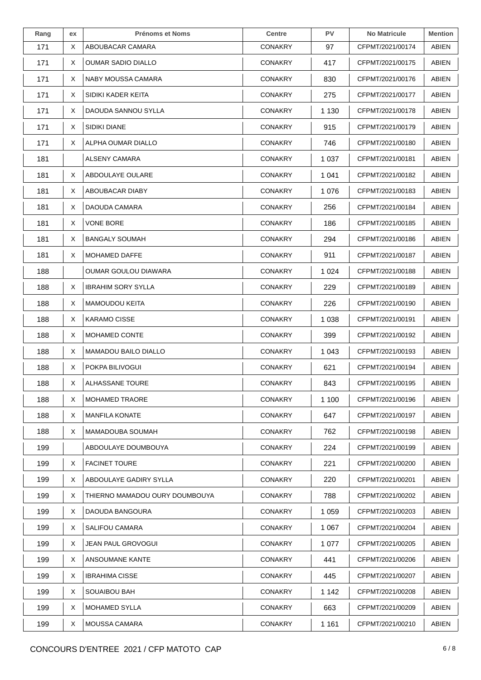| Rang | ex | <b>Prénoms et Noms</b>         | <b>Centre</b>  | <b>PV</b> | <b>No Matricule</b> | <b>Mention</b> |
|------|----|--------------------------------|----------------|-----------|---------------------|----------------|
| 171  | X  | ABOUBACAR CAMARA               | <b>CONAKRY</b> | 97        | CFPMT/2021/00174    | <b>ABIEN</b>   |
| 171  | X  | <b>OUMAR SADIO DIALLO</b>      | <b>CONAKRY</b> | 417       | CFPMT/2021/00175    | ABIEN          |
| 171  | X  | NABY MOUSSA CAMARA             | <b>CONAKRY</b> | 830       | CFPMT/2021/00176    | ABIEN          |
| 171  | X  | SIDIKI KADER KEITA             | <b>CONAKRY</b> | 275       | CFPMT/2021/00177    | ABIEN          |
| 171  | X  | DAOUDA SANNOU SYLLA            | <b>CONAKRY</b> | 1 1 3 0   | CFPMT/2021/00178    | <b>ABIEN</b>   |
| 171  | X  | SIDIKI DIANE                   | <b>CONAKRY</b> | 915       | CFPMT/2021/00179    | ABIEN          |
| 171  | X  | ALPHA OUMAR DIALLO             | <b>CONAKRY</b> | 746       | CFPMT/2021/00180    | ABIEN          |
| 181  |    | ALSENY CAMARA                  | <b>CONAKRY</b> | 1 0 3 7   | CFPMT/2021/00181    | ABIEN          |
| 181  | X  | ABDOULAYE OULARE               | <b>CONAKRY</b> | 1 0 4 1   | CFPMT/2021/00182    | <b>ABIEN</b>   |
| 181  | X  | ABOUBACAR DIABY                | <b>CONAKRY</b> | 1 0 7 6   | CFPMT/2021/00183    | <b>ABIEN</b>   |
| 181  | X  | DAOUDA CAMARA                  | <b>CONAKRY</b> | 256       | CFPMT/2021/00184    | ABIEN          |
| 181  | X  | <b>VONE BORE</b>               | <b>CONAKRY</b> | 186       | CFPMT/2021/00185    | ABIEN          |
| 181  | X  | <b>BANGALY SOUMAH</b>          | <b>CONAKRY</b> | 294       | CFPMT/2021/00186    | <b>ABIEN</b>   |
| 181  | X  | <b>MOHAMED DAFFE</b>           | <b>CONAKRY</b> | 911       | CFPMT/2021/00187    | ABIEN          |
| 188  |    | OUMAR GOULOU DIAWARA           | <b>CONAKRY</b> | 1 0 2 4   | CFPMT/2021/00188    | ABIEN          |
| 188  | X  | <b>IBRAHIM SORY SYLLA</b>      | <b>CONAKRY</b> | 229       | CFPMT/2021/00189    | ABIEN          |
| 188  | X  | <b>MAMOUDOU KEITA</b>          | <b>CONAKRY</b> | 226       | CFPMT/2021/00190    | ABIEN          |
| 188  | X  | <b>KARAMO CISSE</b>            | <b>CONAKRY</b> | 1 0 3 8   | CFPMT/2021/00191    | <b>ABIEN</b>   |
| 188  | X  | MOHAMED CONTE                  | <b>CONAKRY</b> | 399       | CFPMT/2021/00192    | ABIEN          |
| 188  | X  | <b>MAMADOU BAILO DIALLO</b>    | <b>CONAKRY</b> | 1 0 4 3   | CFPMT/2021/00193    | ABIEN          |
| 188  | X  | POKPA BILIVOGUI                | <b>CONAKRY</b> | 621       | CFPMT/2021/00194    | ABIEN          |
| 188  | X. | <b>ALHASSANE TOURE</b>         | <b>CONAKRY</b> | 843       | CFPMT/2021/00195    | ABIEN          |
| 188  | X  | <b>MOHAMED TRAORE</b>          | <b>CONAKRY</b> | 1 100     | CFPMT/2021/00196    | ABIEN          |
| 188  | X  | <b>MANFILA KONATE</b>          | <b>CONAKRY</b> | 647       | CFPMT/2021/00197    | ABIEN          |
| 188  | X  | MAMADOUBA SOUMAH               | <b>CONAKRY</b> | 762       | CFPMT/2021/00198    | ABIEN          |
| 199  |    | ABDOULAYE DOUMBOUYA            | <b>CONAKRY</b> | 224       | CFPMT/2021/00199    | <b>ABIEN</b>   |
| 199  | X  | <b>FACINET TOURE</b>           | <b>CONAKRY</b> | 221       | CFPMT/2021/00200    | ABIEN          |
| 199  | X  | ABDOULAYE GADIRY SYLLA         | <b>CONAKRY</b> | 220       | CFPMT/2021/00201    | ABIEN          |
| 199  | X  | THIERNO MAMADOU OURY DOUMBOUYA | <b>CONAKRY</b> | 788       | CFPMT/2021/00202    | ABIEN          |
| 199  | X  | DAOUDA BANGOURA                | <b>CONAKRY</b> | 1 0 5 9   | CFPMT/2021/00203    | ABIEN          |
| 199  | X  | SALIFOU CAMARA                 | <b>CONAKRY</b> | 1 0 6 7   | CFPMT/2021/00204    | <b>ABIEN</b>   |
| 199  | X  | JEAN PAUL GROVOGUI             | <b>CONAKRY</b> | 1 0 7 7   | CFPMT/2021/00205    | ABIEN          |
| 199  | X  | ANSOUMANE KANTE                | <b>CONAKRY</b> | 441       | CFPMT/2021/00206    | ABIEN          |
| 199  | X  | <b>IBRAHIMA CISSE</b>          | <b>CONAKRY</b> | 445       | CFPMT/2021/00207    | <b>ABIEN</b>   |
| 199  | X  | <b>SOUAIBOU BAH</b>            | <b>CONAKRY</b> | 1 1 4 2   | CFPMT/2021/00208    | ABIEN          |
| 199  | X  | <b>MOHAMED SYLLA</b>           | <b>CONAKRY</b> | 663       | CFPMT/2021/00209    | ABIEN          |
| 199  | X  | <b>MOUSSA CAMARA</b>           | <b>CONAKRY</b> | 1 1 6 1   | CFPMT/2021/00210    | ABIEN          |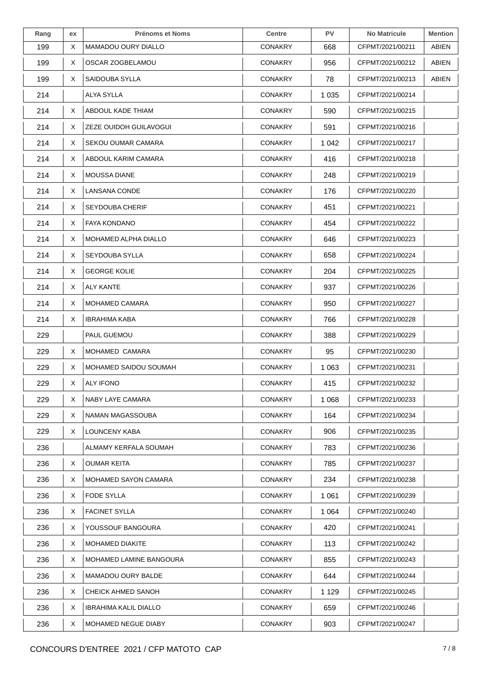| Rang | ex | <b>Prénoms et Noms</b>       | <b>Centre</b>  | <b>PV</b> | <b>No Matricule</b> | <b>Mention</b> |
|------|----|------------------------------|----------------|-----------|---------------------|----------------|
| 199  | X  | <b>MAMADOU OURY DIALLO</b>   | <b>CONAKRY</b> | 668       | CFPMT/2021/00211    | ABIEN          |
| 199  | X. | OSCAR ZOGBELAMOU             | <b>CONAKRY</b> | 956       | CFPMT/2021/00212    | ABIEN          |
| 199  | X  | SAIDOUBA SYLLA               | <b>CONAKRY</b> | 78        | CFPMT/2021/00213    | ABIEN          |
| 214  |    | ALYA SYLLA                   | <b>CONAKRY</b> | 1 0 3 5   | CFPMT/2021/00214    |                |
| 214  | X  | ABDOUL KADE THIAM            | <b>CONAKRY</b> | 590       | CFPMT/2021/00215    |                |
| 214  | X  | ZEZE OUIDOH GUILAVOGUI       | <b>CONAKRY</b> | 591       | CFPMT/2021/00216    |                |
| 214  | X  | SEKOU OUMAR CAMARA           | <b>CONAKRY</b> | 1 0 4 2   | CFPMT/2021/00217    |                |
| 214  | X. | ABDOUL KARIM CAMARA          | <b>CONAKRY</b> | 416       | CFPMT/2021/00218    |                |
| 214  | X  | <b>MOUSSA DIANE</b>          | <b>CONAKRY</b> | 248       | CFPMT/2021/00219    |                |
| 214  | X. | LANSANA CONDE                | <b>CONAKRY</b> | 176       | CFPMT/2021/00220    |                |
| 214  | X. | <b>SEYDOUBA CHERIF</b>       | <b>CONAKRY</b> | 451       | CFPMT/2021/00221    |                |
| 214  | X. | <b>FAYA KONDANO</b>          | <b>CONAKRY</b> | 454       | CFPMT/2021/00222    |                |
| 214  | X. | <b>MOHAMED ALPHA DIALLO</b>  | <b>CONAKRY</b> | 646       | CFPMT/2021/00223    |                |
| 214  | X. | SEYDOUBA SYLLA               | <b>CONAKRY</b> | 658       | CFPMT/2021/00224    |                |
| 214  | X. | <b>GEORGE KOLIE</b>          | <b>CONAKRY</b> | 204       | CFPMT/2021/00225    |                |
| 214  | X  | <b>ALY KANTE</b>             | <b>CONAKRY</b> | 937       | CFPMT/2021/00226    |                |
| 214  | X. | <b>MOHAMED CAMARA</b>        | <b>CONAKRY</b> | 950       | CFPMT/2021/00227    |                |
| 214  | X. | <b>IBRAHIMA KABA</b>         | <b>CONAKRY</b> | 766       | CFPMT/2021/00228    |                |
| 229  |    | PAUL GUEMOU                  | <b>CONAKRY</b> | 388       | CFPMT/2021/00229    |                |
| 229  | X. | MOHAMED CAMARA               | <b>CONAKRY</b> | 95        | CFPMT/2021/00230    |                |
| 229  | X. | MOHAMED SAIDOU SOUMAH        | <b>CONAKRY</b> | 1 0 6 3   | CFPMT/2021/00231    |                |
| 229  | X  | <b>ALY IFONO</b>             | <b>CONAKRY</b> | 415       | CFPMT/2021/00232    |                |
| 229  | X  | NABY LAYE CAMARA             | <b>CONAKRY</b> | 1 0 6 8   | CFPMT/2021/00233    |                |
| 229  | X  | NAMAN MAGASSOUBA             | <b>CONAKRY</b> | 164       | CFPMT/2021/00234    |                |
| 229  | X. | LOUNCENY KABA                | <b>CONAKRY</b> | 906       | CFPMT/2021/00235    |                |
| 236  |    | ALMAMY KERFALA SOUMAH        | <b>CONAKRY</b> | 783       | CFPMT/2021/00236    |                |
| 236  | X  | <b>OUMAR KEITA</b>           | <b>CONAKRY</b> | 785       | CFPMT/2021/00237    |                |
| 236  | X. | MOHAMED SAYON CAMARA         | <b>CONAKRY</b> | 234       | CFPMT/2021/00238    |                |
| 236  | X. | <b>FODE SYLLA</b>            | <b>CONAKRY</b> | 1 0 6 1   | CFPMT/2021/00239    |                |
| 236  | X. | <b>FACINET SYLLA</b>         | <b>CONAKRY</b> | 1 0 6 4   | CFPMT/2021/00240    |                |
| 236  | X. | YOUSSOUF BANGOURA            | <b>CONAKRY</b> | 420       | CFPMT/2021/00241    |                |
| 236  | X. | <b>MOHAMED DIAKITE</b>       | <b>CONAKRY</b> | 113       | CFPMT/2021/00242    |                |
| 236  | X. | MOHAMED LAMINE BANGOURA      | <b>CONAKRY</b> | 855       | CFPMT/2021/00243    |                |
| 236  | X. | <b>MAMADOU OURY BALDE</b>    | <b>CONAKRY</b> | 644       | CFPMT/2021/00244    |                |
| 236  | X  | CHEICK AHMED SANOH           | <b>CONAKRY</b> | 1 1 2 9   | CFPMT/2021/00245    |                |
| 236  | X  | <b>IBRAHIMA KALIL DIALLO</b> | <b>CONAKRY</b> | 659       | CFPMT/2021/00246    |                |
| 236  | X  | MOHAMED NEGUE DIABY          | <b>CONAKRY</b> | 903       | CFPMT/2021/00247    |                |